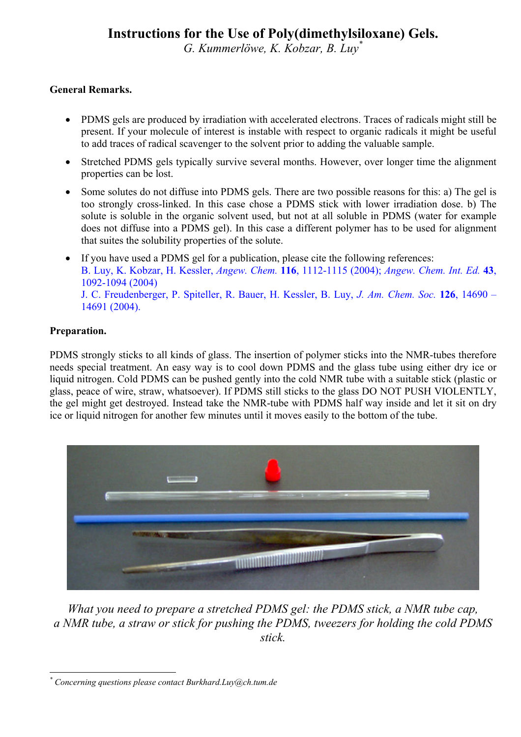## **Instructions for the Use of Poly(dimethylsiloxane) Gels.**

*G. Kummerlöwe, K. Kobzar, B. Lu[y\\*](#page-0-0)*

### **General Remarks.**

- PDMS gels are produced by irradiation with accelerated electrons. Traces of radicals might still be present. If your molecule of interest is instable with respect to organic radicals it might be useful to add traces of radical scavenger to the solvent prior to adding the valuable sample.
- Stretched PDMS gels typically survive several months. However, over longer time the alignment properties can be lost.
- Some solutes do not diffuse into PDMS gels. There are two possible reasons for this: a) The gel is too strongly cross-linked. In this case chose a PDMS stick with lower irradiation dose. b) The solute is soluble in the organic solvent used, but not at all soluble in PDMS (water for example does not diffuse into a PDMS gel). In this case a different polymer has to be used for alignment that suites the solubility properties of the solute.
- If you have used a PDMS gel for a publication, please cite the following references: B. Luy, K. Kobzar, H. Kessler, *Angew. Chem.* **116**, 1112-1115 (2004); *Angew. Chem. Int. Ed.* **43**, 1092-1094 (2004) J. C. Freudenberger, P. Spiteller, R. Bauer, H. Kessler, B. Luy, *J. Am. Chem. Soc.* **126**, 14690 – 14691 (2004).

#### **Preparation.**

PDMS strongly sticks to all kinds of glass. The insertion of polymer sticks into the NMR-tubes therefore needs special treatment. An easy way is to cool down PDMS and the glass tube using either dry ice or liquid nitrogen. Cold PDMS can be pushed gently into the cold NMR tube with a suitable stick (plastic or glass, peace of wire, straw, whatsoever). If PDMS still sticks to the glass DO NOT PUSH VIOLENTLY, the gel might get destroyed. Instead take the NMR-tube with PDMS half way inside and let it sit on dry ice or liquid nitrogen for another few minutes until it moves easily to the bottom of the tube.



*What you need to prepare a stretched PDMS gel: the PDMS stick, a NMR tube cap, a NMR tube, a straw or stick for pushing the PDMS, tweezers for holding the cold PDMS stick.*

<span id="page-0-0"></span> $\overline{a}$ *\* Concerning questions please contact Burkhard.Luy@ch.tum.de*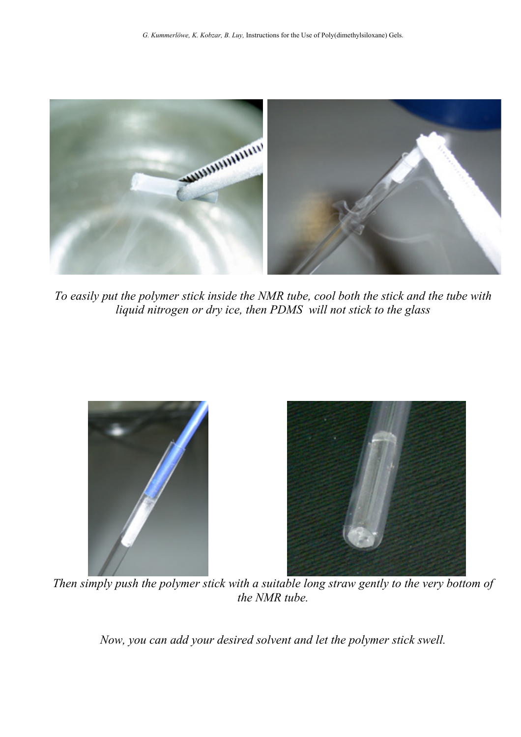

*To easily put the polymer stick inside the NMR tube, cool both the stick and the tube with liquid nitrogen or dry ice, then PDMS will not stick to the glass* 



*Then simply push the polymer stick with a suitable long straw gently to the very bottom of the NMR tube.* 

*Now, you can add your desired solvent and let the polymer stick swell.*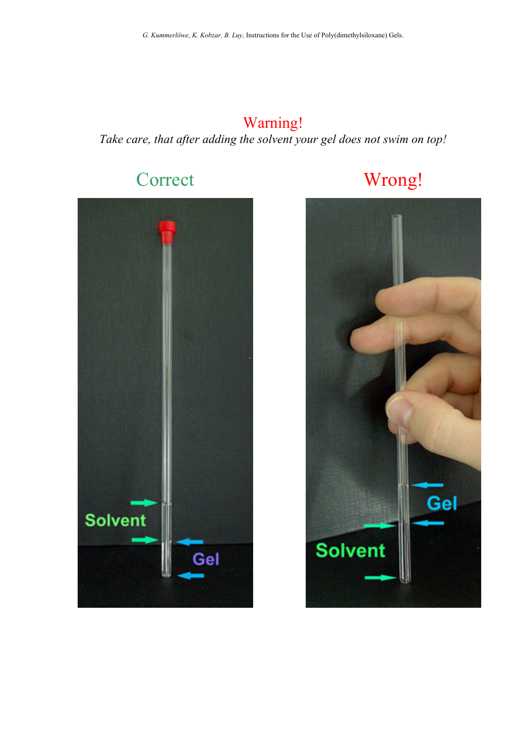# Warning! *Take care, that after adding the solvent your gel does not swim on top!*